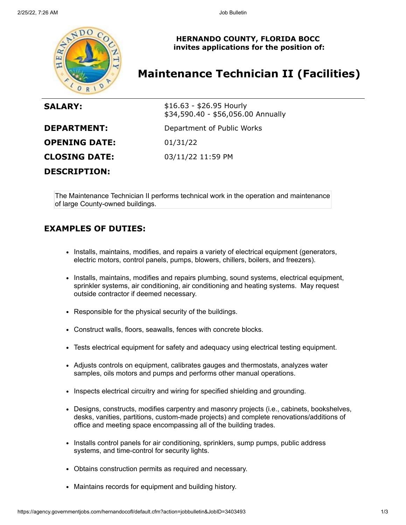

**HERNANDO COUNTY, FLORIDA BOCC invites applications for the position of:**

# **Maintenance Technician II (Facilities)**

| <b>SALARY:</b>       | $$16.63 - $26.95$ Hourly<br>\$34,590.40 - \$56,056.00 Annually |
|----------------------|----------------------------------------------------------------|
| <b>DEPARTMENT:</b>   | Department of Public Works                                     |
| <b>OPENING DATE:</b> | 01/31/22                                                       |
| <b>CLOSING DATE:</b> | 03/11/22 11:59 PM                                              |
| <b>DESCRIPTION:</b>  |                                                                |

The Maintenance Technician II performs technical work in the operation and maintenance of large County-owned buildings.

### **EXAMPLES OF DUTIES:**

- Installs, maintains, modifies, and repairs a variety of electrical equipment (generators, electric motors, control panels, pumps, blowers, chillers, boilers, and freezers).
- Installs, maintains, modifies and repairs plumbing, sound systems, electrical equipment, sprinkler systems, air conditioning, air conditioning and heating systems. May request outside contractor if deemed necessary.
- Responsible for the physical security of the buildings.
- Construct walls, floors, seawalls, fences with concrete blocks.
- Tests electrical equipment for safety and adequacy using electrical testing equipment.
- Adjusts controls on equipment, calibrates gauges and thermostats, analyzes water samples, oils motors and pumps and performs other manual operations.
- Inspects electrical circuitry and wiring for specified shielding and grounding.
- Designs, constructs, modifies carpentry and masonry projects (i.e., cabinets, bookshelves, desks, vanities, partitions, custom-made projects) and complete renovations/additions of office and meeting space encompassing all of the building trades.
- Installs control panels for air conditioning, sprinklers, sump pumps, public address systems, and time-control for security lights.
- Obtains construction permits as required and necessary.
- Maintains records for equipment and building history.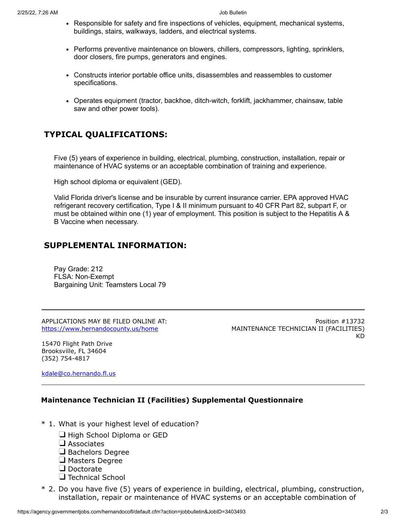- Responsible for safety and fire inspections of vehicles, equipment, mechanical systems, buildings, stairs, walkways, ladders, and electrical systems.
- Performs preventive maintenance on blowers, chillers, compressors, lighting, sprinklers, door closers, fire pumps, generators and engines.
- Constructs interior portable office units, disassembles and reassembles to customer specifications.
- Operates equipment (tractor, backhoe, ditch-witch, forklift, jackhammer, chainsaw, table saw and other power tools).

## **TYPICAL QUALIFICATIONS:**

Five (5) years of experience in building, electrical, plumbing, construction, installation, repair or maintenance of HVAC systems or an acceptable combination of training and experience.

High school diploma or equivalent (GED).

Valid Florida driver's license and be insurable by current insurance carrier. EPA approved HVAC refrigerant recovery certification, Type I & II minimum pursuant to 40 CFR Part 82, subpart F, or must be obtained within one (1) year of employment. This position is subject to the Hepatitis A & B Vaccine when necessary.

#### **SUPPLEMENTAL INFORMATION:**

Pay Grade: 212 FLSA: Non-Exempt Bargaining Unit: Teamsters Local 79

APPLICATIONS MAY BE FILED ONLINE AT: <https://www.hernandocounty.us/home>

Position #13732 MAINTENANCE TECHNICIAN II (FACILITIES) KD

15470 Flight Path Drive Brooksville, FL 34604 (352) 754-4817

[kdale@co.hernando.fl.us](mailto:kdale@co.hernando.fl.us)

#### **Maintenance Technician II (Facilities) Supplemental Questionnaire**

- \* 1. What is your highest level of education?
	- High School Diploma or GED
	- $\Box$  Associates
	- $\Box$  Bachelors Degree
	- $\Box$  Masters Degree
	- Doctorate
	- $\Box$  Technical School
- \* 2. Do you have five (5) years of experience in building, electrical, plumbing, construction, installation, repair or maintenance of HVAC systems or an acceptable combination of